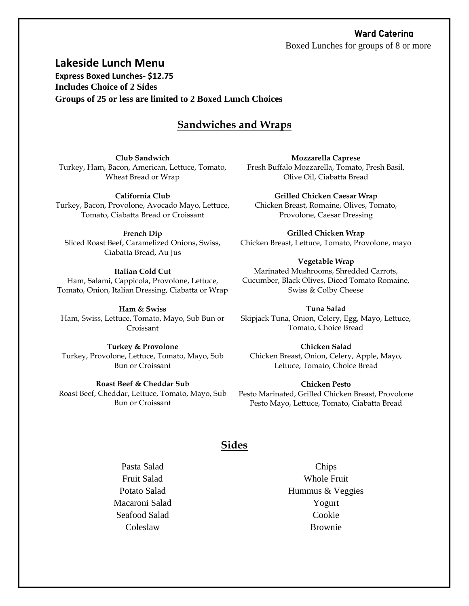### Ward Catering

Boxed Lunches for groups of 8 or more

**Lakeside Lunch Menu Express Boxed Lunches- \$12.75 Includes Choice of 2 Sides Groups of 25 or less are limited to 2 Boxed Lunch Choices**

# **Sandwiches and Wraps**

**Club Sandwich** Turkey, Ham, Bacon, American, Lettuce, Tomato, Wheat Bread or Wrap

**California Club** Turkey, Bacon, Provolone, Avocado Mayo, Lettuce, Tomato, Ciabatta Bread or Croissant

**French Dip**

Sliced Roast Beef, Caramelized Onions, Swiss, Ciabatta Bread, Au Jus

**Italian Cold Cut** Ham, Salami, Cappicola, Provolone, Lettuce, Tomato, Onion, Italian Dressing, Ciabatta or Wrap

**Ham & Swiss**  Ham, Swiss, Lettuce, Tomato, Mayo, Sub Bun or Croissant

**Turkey & Provolone** Turkey, Provolone, Lettuce, Tomato, Mayo, Sub Bun or Croissant

**Roast Beef & Cheddar Sub** Roast Beef, Cheddar, Lettuce, Tomato, Mayo, Sub Bun or Croissant

**Mozzarella Caprese** Fresh Buffalo Mozzarella, Tomato, Fresh Basil, Olive Oil, Ciabatta Bread

**Grilled Chicken Caesar Wrap** Chicken Breast, Romaine, Olives, Tomato, Provolone, Caesar Dressing

**Grilled Chicken Wrap** Chicken Breast, Lettuce, Tomato, Provolone, mayo

**Vegetable Wrap** Marinated Mushrooms, Shredded Carrots, Cucumber, Black Olives, Diced Tomato Romaine, Swiss & Colby Cheese

**Tuna Salad** Skipjack Tuna, Onion, Celery, Egg, Mayo, Lettuce, Tomato, Choice Bread

**Chicken Salad** Chicken Breast, Onion, Celery, Apple, Mayo, Lettuce, Tomato, Choice Bread

**Chicken Pesto** Pesto Marinated, Grilled Chicken Breast, Provolone Pesto Mayo, Lettuce, Tomato, Ciabatta Bread

### **Sides**

Pasta Salad Fruit Salad Potato Salad Macaroni Salad Seafood Salad Coleslaw

Chips Whole Fruit Hummus & Veggies Yogurt Cookie Brownie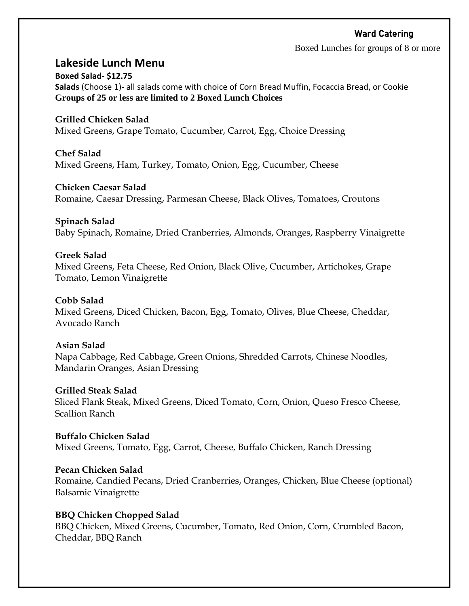# Ward Catering

Boxed Lunches for groups of 8 or more

# **Lakeside Lunch Menu**

**Boxed Salad- \$12.75 Salads** (Choose 1)- all salads come with choice of Corn Bread Muffin, Focaccia Bread, or Cookie **Groups of 25 or less are limited to 2 Boxed Lunch Choices**

### **Grilled Chicken Salad**

Mixed Greens, Grape Tomato, Cucumber, Carrot, Egg, Choice Dressing

# **Chef Salad**

Mixed Greens, Ham, Turkey, Tomato, Onion, Egg, Cucumber, Cheese

### **Chicken Caesar Salad**

Romaine, Caesar Dressing, Parmesan Cheese, Black Olives, Tomatoes, Croutons

#### **Spinach Salad**

Baby Spinach, Romaine, Dried Cranberries, Almonds, Oranges, Raspberry Vinaigrette

### **Greek Salad**

Mixed Greens, Feta Cheese, Red Onion, Black Olive, Cucumber, Artichokes, Grape Tomato, Lemon Vinaigrette

### **Cobb Salad**

Mixed Greens, Diced Chicken, Bacon, Egg, Tomato, Olives, Blue Cheese, Cheddar, Avocado Ranch

### **Asian Salad**

Napa Cabbage, Red Cabbage, Green Onions, Shredded Carrots, Chinese Noodles, Mandarin Oranges, Asian Dressing

#### **Grilled Steak Salad**

Sliced Flank Steak, Mixed Greens, Diced Tomato, Corn, Onion, Queso Fresco Cheese, Scallion Ranch

**Buffalo Chicken Salad** Mixed Greens, Tomato, Egg, Carrot, Cheese, Buffalo Chicken, Ranch Dressing

### **Pecan Chicken Salad**

Romaine, Candied Pecans, Dried Cranberries, Oranges, Chicken, Blue Cheese (optional) Balsamic Vinaigrette

### **BBQ Chicken Chopped Salad**

BBQ Chicken, Mixed Greens, Cucumber, Tomato, Red Onion, Corn, Crumbled Bacon, Cheddar, BBQ Ranch